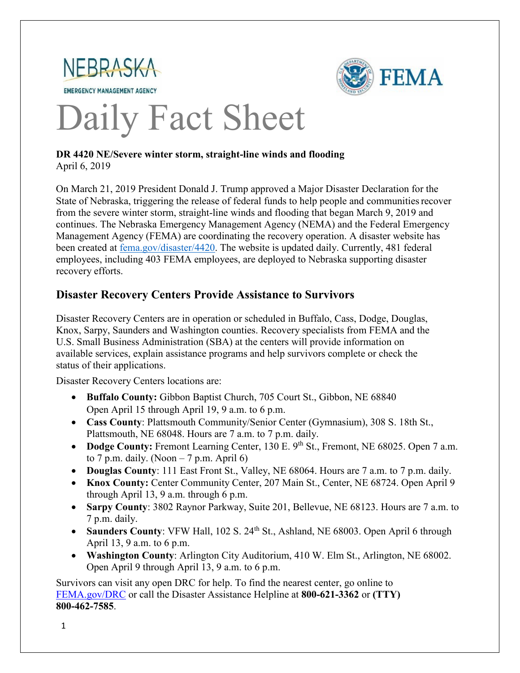



# Daily Fact Sheet

#### **DR 4420 NE/Severe winter storm, straight-line winds and flooding** April 6, 2019

On March 21, 2019 President Donald J. Trump approved a Major Disaster Declaration for the State of Nebraska, triggering the release of federal funds to help people and communities recover from the severe winter storm, straight-line winds and flooding that began March 9, 2019 and continues. The Nebraska Emergency Management Agency (NEMA) and the Federal Emergency Management Agency (FEMA) are coordinating the recovery operation. A disaster website has been created at [fema.gov/disaster/4420.](https://www.fema.gov/disaster/4420) The website is updated daily. Currently, 481 federal employees, including 403 FEMA employees, are deployed to Nebraska supporting disaster recovery efforts.

#### **Disaster Recovery Centers Provide Assistance to Survivors**

Disaster Recovery Centers are in operation or scheduled in Buffalo, Cass, Dodge, Douglas, Knox, Sarpy, Saunders and Washington counties. Recovery specialists from FEMA and the U.S. Small Business Administration (SBA) at the centers will provide information on available services, explain assistance programs and help survivors complete or check the status of their applications.

Disaster Recovery Centers locations are:

- **Buffalo County:** Gibbon Baptist Church, 705 Court St., Gibbon, NE 68840 Open April 15 through April 19, 9 a.m. to 6 p.m.
- **Cass County**: Plattsmouth Community/Senior Center (Gymnasium), 308 S. 18th St., Plattsmouth, NE 68048. Hours are 7 a.m. to 7 p.m. daily.
- **Dodge County:** Fremont Learning Center, 130 E. 9<sup>th</sup> St., Fremont, NE 68025. Open 7 a.m. to 7 p.m. daily. (Noon  $-7$  p.m. April 6)
- **Douglas County**: 111 East Front St., Valley, NE 68064. Hours are 7 a.m. to 7 p.m. daily.
- Knox County: Center Community Center, 207 Main St., Center, NE 68724. Open April 9 through April 13, 9 a.m. through 6 p.m.
- **Sarpy County**: 3802 Raynor Parkway, Suite 201, Bellevue, NE 68123. Hours are 7 a.m. to 7 p.m. daily.
- **Saunders County**: VFW Hall, 102 S. 24<sup>th</sup> St., Ashland, NE 68003. Open April 6 through April 13, 9 a.m. to 6 p.m.
- **Washington County**: Arlington City Auditorium, 410 W. Elm St., Arlington, NE 68002. Open April 9 through April 13, 9 a.m. to 6 p.m.

Survivors can visit any open DRC for help. To find the nearest center, go online to [FEMA.gov/DRC](http://www.fema.gov/DRC) or call the Disaster Assistance Helpline at **800-621-3362** or **(TTY) 800-462-7585**.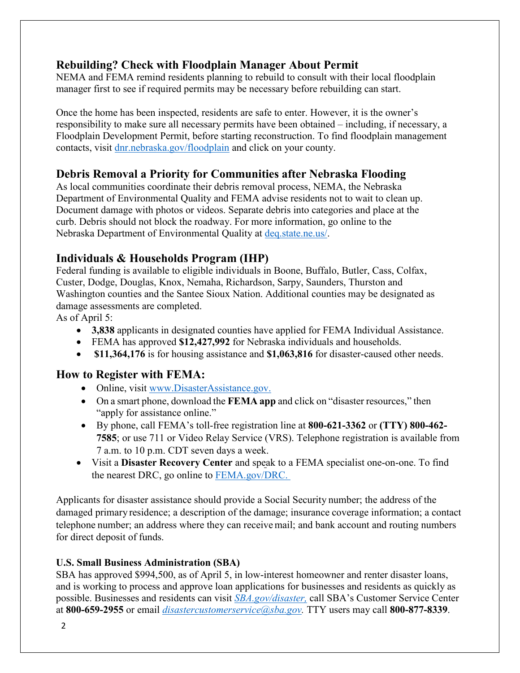## **Rebuilding? Check with Floodplain Manager About Permit**

NEMA and FEMA remind residents planning to rebuild to consult with their local floodplain manager first to see if required permits may be necessary before rebuilding can start.

Once the home has been inspected, residents are safe to enter. However, it is the owner's responsibility to make sure all necessary permits have been obtained – including, if necessary, a Floodplain Development Permit, before starting reconstruction. To find floodplain management contacts, visit [dnr.nebraska.gov/floodplain](https://dnr.nebraska.gov/floodplain) and click on your county.

#### **Debris Removal a Priority for Communities after Nebraska Flooding**

As local communities coordinate their debris removal process, NEMA, the Nebraska Department of Environmental Quality and FEMA advise residents not to wait to clean up. Document damage with photos or videos. Separate debris into categories and place at the curb. Debris should not block the roadway. For more information, go online to the Nebraska Department of Environmental Quality at [deq.state.ne.us/.](http://www.deq.state.ne.us/)

## **Individuals & Households Program (IHP)**

Federal funding is available to eligible individuals in Boone, Buffalo, Butler, Cass, Colfax, Custer, Dodge, Douglas, Knox, Nemaha, Richardson, Sarpy, Saunders, Thurston and Washington counties and the Santee Sioux Nation. Additional counties may be designated as damage assessments are completed.

As of April 5:

- **3,838** applicants in designated counties have applied for FEMA Individual Assistance.
- FEMA has approved **\$12,427,992** for Nebraska individuals and households.
- **\$11,364,176** is for housing assistance and **\$1,063,816** for disaster-caused other needs.

#### **How to Register with FEMA:**

- Online, visit [www.DisasterAssistance.gov.](http://www.disasterassistance.gov/)
- On a smart phone, download the **FEMA app** and click on "disaster resources," then "apply for assistance online."
- By phone, call FEMA's toll-free registration line at **800-621-3362** or **(TTY) 800-462- 7585**; or use 711 or Video Relay Service (VRS). Telephone registration is available from 7 a.m. to 10 p.m. CDT seven days a week.
- Visit a **Disaster Recovery Center** and speak to a FEMA specialist one-on-one. To find the nearest DRC, go online to [FEMA.gov/DRC.](http://www.fema.gov/DRC)

Applicants for disaster assistance should provide a Social Security number; the address of the damaged primary residence; a description of the damage; insurance coverage information; a contact telephone number; an address where they can receivemail; and bank account and routing numbers for direct deposit of funds.

#### **U.S. Small Business Administration (SBA)**

SBA has approved \$994,500, as of April 5, in low-interest homeowner and renter disaster loans, and is working to process and approve loan applications for businesses and residents as quickly as possible. Businesses and residents can visit *[SBA.gov/disaster,](http://www.sba.gov/disaster)* call SBA's Customer Service Center at **800-659-2955** or email *[disastercustomerservice@sba.gov.](mailto:disastercustomerservice@sba.gov)* TTY users may call **800-877-8339**.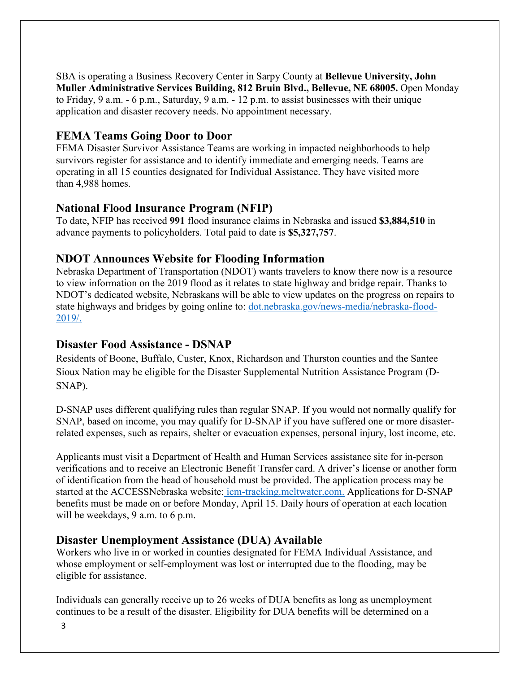SBA is operating a Business Recovery Center in Sarpy County at **Bellevue University, John Muller Administrative Services Building, 812 Bruin Blvd., Bellevue, NE 68005.** Open Monday to Friday, 9 a.m. - 6 p.m., Saturday, 9 a.m. - 12 p.m. to assist businesses with their unique application and disaster recovery needs. No appointment necessary.

#### **FEMA Teams Going Door to Door**

FEMA Disaster Survivor Assistance Teams are working in impacted neighborhoods to help survivors register for assistance and to identify immediate and emerging needs. Teams are operating in all 15 counties designated for Individual Assistance. They have visited more than 4,988 homes.

#### **National Flood Insurance Program (NFIP)**

To date, NFIP has received **991** flood insurance claims in Nebraska and issued **\$3,884,510** in advance payments to policyholders. Total paid to date is **\$5,327,757**.

#### **NDOT Announces Website for Flooding Information**

Nebraska Department of Transportation (NDOT) wants travelers to know there now is a resource to view information on the 2019 flood as it relates to state highway and bridge repair. Thanks to NDOT's dedicated website, Nebraskans will be able to view updates on the progress on repairs to state highways and bridges by going online to: [dot.nebraska.gov/news-media/nebraska-flood-](https://dot.nebraska.gov/news-media/nebraska-flood-2019)[2019/.](https://dot.nebraska.gov/news-media/nebraska-flood-2019)

#### **Disaster Food Assistance - DSNAP**

Residents of Boone, Buffalo, Custer, Knox, Richardson and Thurston counties and the Santee Sioux Nation may be eligible for the Disaster Supplemental Nutrition Assistance Program (D-SNAP).

D-SNAP uses different qualifying rules than regular SNAP. If you would not normally qualify for SNAP, based on income, you may qualify for D-SNAP if you have suffered one or more disasterrelated expenses, such as repairs, shelter or evacuation expenses, personal injury, lost income, etc.

Applicants must visit a Department of Health and Human Services assistance site for in-person verifications and to receive an Electronic Benefit Transfer card. A driver's license or another form of identification from the head of household must be provided. The application process may be started at the ACCESSNebraska website: [icm-tracking.meltwater.com.](https://urldefense.proofpoint.com/v2/url?u=http-3A__icm-2Dtracking.meltwater.com_link.php-3FDynEngagement-3Dtrue-26H-3DAqX-252Fyxxn-252FCsKfNEzXNs-252BvxKe7ZZW379-252BIapVVCHkcj06tGRioNXHydnB8SDRy9JxrFsq0oaLewgudj7TOvY80a-252F775ndImiF8LU3Vyj1NoiYtEkdMFnZNw-253D-253D-26G-3D0-26R-3Dhttp-253A-252F-252Fdhhs.ne.gov-252Faccessnebraska-26I-3D20190404162641.000000225197-2540mail6-2D60-2Dusnbn1-26X-3DMHwxMDQ2NzU4OjVjYTYzMDI5MTBjMDM3OTY2N2VlYTM0Yzs-253D-26S-3DDGEoY-2DbSkqT41ift9wqhsCCO8r83dY1SOhEg-5F3kYxBs&d=DwMFaQ&c=aLv4kG3eFBuAUFgZFQ07JQ&r=D4s0oZB443VvNWVj98sssJlIyPUI5-BrepXQ-0mPdZg&m=0WtMuNvq7a_L08JvpLE_112rO2Jbufod_DAydqwugLo&s=MR0_miLYsz5WX6A-D_OFE4Skgql1PRDxOh_AhAYYprI&e=) Applications for D-SNAP benefits must be made on or before Monday, April 15. Daily hours of operation at each location will be weekdays, 9 a.m. to 6 p.m.

#### **Disaster Unemployment Assistance (DUA) Available**

Workers who live in or worked in counties designated for FEMA Individual Assistance, and whose employment or self-employment was lost or interrupted due to the flooding, may be eligible for assistance.

Individuals can generally receive up to 26 weeks of DUA benefits as long as unemployment continues to be a result of the disaster. Eligibility for DUA benefits will be determined on a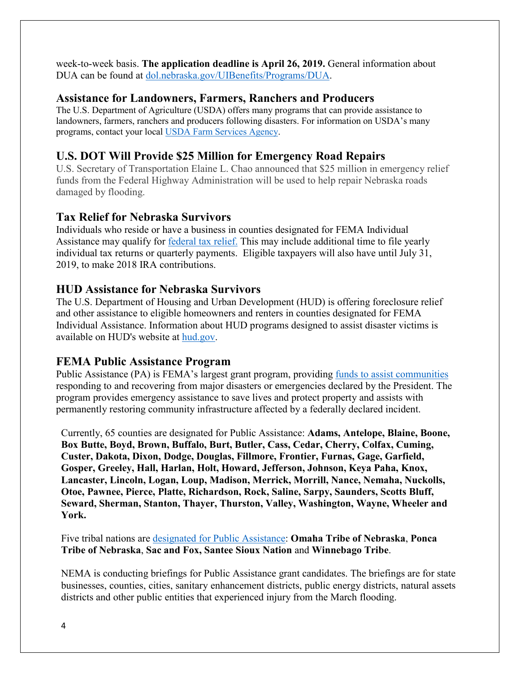week-to-week basis. **The application deadline is April 26, 2019.** General information about DUA can be found at [dol.nebraska.gov/UIBenefits/Programs/DUA.](https://dol.nebraska.gov/UIBenefits/Programs/DUA)

#### **Assistance for Landowners, Farmers, Ranchers and Producers**

The U.S. Department of Agriculture (USDA) offers many programs that can provide assistance to landowners, farmers, ranchers and producers following disasters. For information on USDA's many programs, contact your local USDA Farm Services Agency.

## **U.S. DOT Will Provide \$25 Million for Emergency Road Repairs**

U.S. Secretary of Transportation Elaine L. Chao announced that \$25 million in emergency relief funds from the Federal Highway Administration will be used to help repair Nebraska roads damaged by flooding.

#### **Tax Relief for Nebraska Survivors**

Individuals who reside or have a business in counties designated for FEMA Individual Assistance may qualify for [federal tax relief.](https://www.irs.gov/newsroom/irs-announces-tax-relief-for-nebraska-victims-of-severe-winter-storm-straight-line-winds-and-flooding) This may include additional time to file yearly individual tax returns or quarterly payments. Eligible taxpayers will also have until July 31, 2019, to make 2018 IRA contributions.

#### **HUD Assistance for Nebraska Survivors**

The U.S. Department of Housing and Urban Development (HUD) is offering foreclosure relief and other assistance to eligible homeowners and renters in counties designated for FEMA Individual Assistance. Information about HUD programs designed to assist disaster victims is available on HUD's website at [hud.gov.](https://www.hud.gov/)

#### **FEMA Public Assistance Program**

Public Assistance (PA) is FEMA's largest grant program, providing [funds to assist communities](https://www.fema.gov/public-assistance-policy-and-guidance) responding to and recovering from major disasters or emergencies declared by the President. The program provides emergency assistance to save lives and protect property and assists with permanently restoring community infrastructure affected by a federally declared incident.

Currently, 65 counties are designated for Public Assistance: **Adams, Antelope, Blaine, Boone, Box Butte, Boyd, Brown, Buffalo, Burt, Butler, Cass, Cedar, Cherry, Colfax, Cuming, Custer, Dakota, Dixon, Dodge, Douglas, Fillmore, Frontier, Furnas, Gage, Garfield, Gosper, Greeley, Hall, Harlan, Holt, Howard, Jefferson, Johnson, Keya Paha, Knox, Lancaster, Lincoln, Logan, Loup, Madison, Merrick, Morrill, Nance, Nemaha, Nuckolls, Otoe, Pawnee, Pierce, Platte, Richardson, Rock, Saline, Sarpy, Saunders, Scotts Bluff, Seward, Sherman, Stanton, Thayer, Thurston, Valley, Washington, Wayne, Wheeler and York.**

Five tribal nations are [designated for Public Assistance:](https://www.fema.gov/disaster/4420) **Omaha Tribe of Nebraska**, **Ponca Tribe of Nebraska**, **Sac and Fox, Santee Sioux Nation** and **Winnebago Tribe**.

NEMA is conducting briefings for Public Assistance grant candidates. The briefings are for state businesses, counties, cities, sanitary enhancement districts, public energy districts, natural assets districts and other public entities that experienced injury from the March flooding.